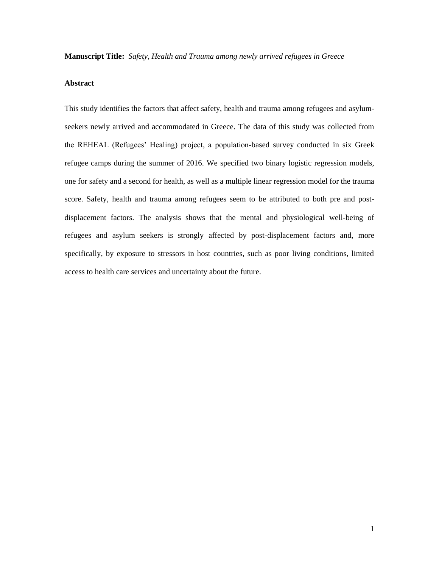**Manuscript Title:** *Safety, Health and Trauma among newly arrived refugees in Greece*

# **Abstract**

This study identifies the factors that affect safety, health and trauma among refugees and asylumseekers newly arrived and accommodated in Greece. The data of this study was collected from the REHEAL (Refugees' Healing) project, a population-based survey conducted in six Greek refugee camps during the summer of 2016. We specified two binary logistic regression models, one for safety and a second for health, as well as a multiple linear regression model for the trauma score. Safety, health and trauma among refugees seem to be attributed to both pre and postdisplacement factors. The analysis shows that the mental and physiological well-being of refugees and asylum seekers is strongly affected by post-displacement factors and, more specifically, by exposure to stressors in host countries, such as poor living conditions, limited access to health care services and uncertainty about the future.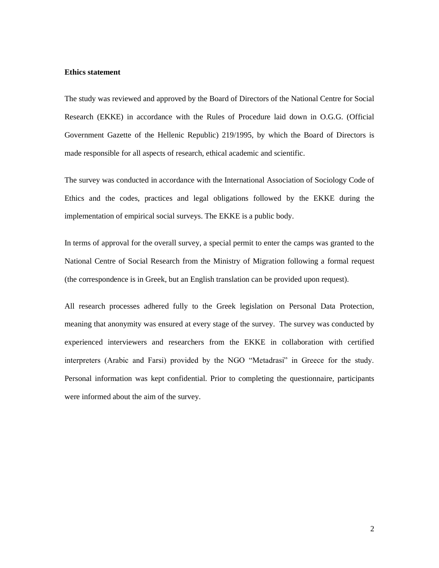### **Ethics statement**

The study was reviewed and approved by the Board of Directors of the National Centre for Social Research (EKKE) in accordance with the Rules of Procedure laid down in O.G.G. (Official Government Gazette of the Hellenic Republic) 219/1995, by which the Board of Directors is made responsible for all aspects of research, ethical academic and scientific.

The survey was conducted in accordance with the International Association of Sociology Code of Ethics and the codes, practices and legal obligations followed by the EKKE during the implementation of empirical social surveys. The EKKE is a public body.

In terms of approval for the overall survey, a special permit to enter the camps was granted to the National Centre of Social Research from the Ministry of Migration following a formal request (the correspondence is in Greek, but an English translation can be provided upon request).

All research processes adhered fully to the Greek legislation on Personal Data Protection, meaning that anonymity was ensured at every stage of the survey. The survey was conducted by experienced interviewers and researchers from the EKKE in collaboration with certified interpreters (Arabic and Farsi) provided by the NGO "Metadrasi" in Greece for the study. Personal information was kept confidential. Prior to completing the questionnaire, participants were informed about the aim of the survey.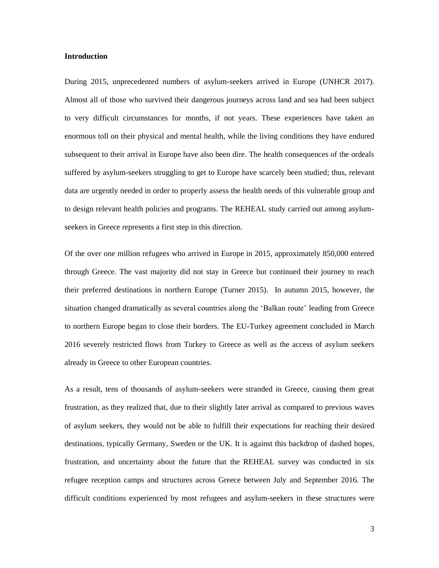## **Introduction**

During 2015, unprecedented numbers of asylum-seekers arrived in Europe (UNHCR 2017). Almost all of those who survived their dangerous journeys across land and sea had been subject to very difficult circumstances for months, if not years. These experiences have taken an enormous toll on their physical and mental health, while the living conditions they have endured subsequent to their arrival in Europe have also been dire. The health consequences of the ordeals suffered by asylum-seekers struggling to get to Europe have scarcely been studied; thus, relevant data are urgently needed in order to properly assess the health needs of this vulnerable group and to design relevant health policies and programs. The REHEAL study carried out among asylumseekers in Greece represents a first step in this direction.

Of the over one million refugees who arrived in Europe in 2015, approximately 850,000 entered through Greece. The vast majority did not stay in Greece but continued their journey to reach their preferred destinations in northern Europe (Turner 2015). In autumn 2015, however, the situation changed dramatically as several countries along the 'Balkan route' leading from Greece to northern Europe began to close their borders. The EU-Turkey agreement concluded in March 2016 severely restricted flows from Turkey to Greece as well as the access of asylum seekers already in Greece to other European countries.

As a result, tens of thousands of asylum-seekers were stranded in Greece, causing them great frustration, as they realized that, due to their slightly later arrival as compared to previous waves of asylum seekers, they would not be able to fulfill their expectations for reaching their desired destinations, typically Germany, Sweden or the UK. It is against this backdrop of dashed hopes, frustration, and uncertainty about the future that the REHEAL survey was conducted in six refugee reception camps and structures across Greece between July and September 2016. The difficult conditions experienced by most refugees and asylum-seekers in these structures were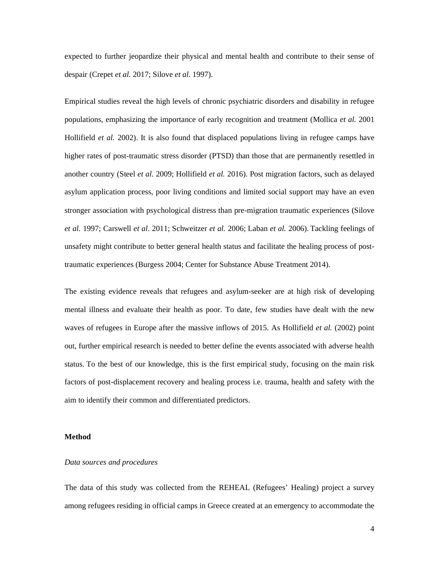expected to further jeopardize their physical and mental health and contribute to their sense of despair (Crepet *et al.* 2017; Silove *et al.* 1997).

Empirical studies reveal the high levels of chronic psychiatric disorders and disability in refugee populations, emphasizing the importance of early recognition and treatment (Mollica *et al.* 2001 Hollifield *et al.* 2002). It is also found that displaced populations living in refugee camps have higher rates of post-traumatic stress disorder (PTSD) than those that are permanently resettled in another country (Steel *et al*. 2009; Hollifield *et al.* 2016). Post migration factors, such as delayed asylum application process, poor living conditions and limited social support may have an even stronger association with psychological distress than pre-migration traumatic experiences (Silove *et al.* 1997; Carswell *et al*. 2011; Schweitzer *et al.* 2006; Laban *et al.* 2006). Tackling feelings of unsafety might contribute to better general health status and facilitate the healing process of posttraumatic experiences (Burgess 2004; Center for Substance Abuse Treatment 2014).

The existing evidence reveals that refugees and asylum-seeker are at high risk of developing mental illness and evaluate their health as poor. To date, few studies have dealt with the new waves of refugees in Europe after the massive inflows of 2015. As Hollifield *et al.* (2002) point out, further empirical research is needed to better define the events associated with adverse health status. To the best of our knowledge, this is the first empirical study, focusing on the main risk factors of post-displacement recovery and healing process i.e. trauma, health and safety with the aim to identify their common and differentiated predictors.

## **Method**

# *Data sources and procedures*

The data of this study was collected from the REHEAL (Refugees' Healing) project a survey among refugees residing in official camps in Greece created at an emergency to accommodate the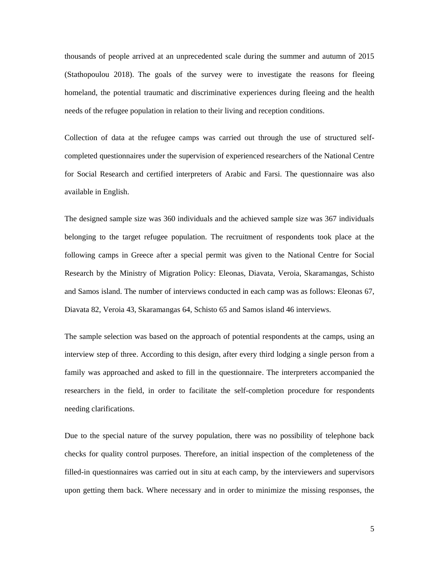thousands of people arrived at an unprecedented scale during the summer and autumn of 2015 (Stathopoulou 2018). The goals of the survey were to investigate the reasons for fleeing homeland, the potential traumatic and discriminative experiences during fleeing and the health needs of the refugee population in relation to their living and reception conditions.

Collection of data at the refugee camps was carried out through the use of structured selfcompleted questionnaires under the supervision of experienced researchers of the National Centre for Social Research and certified interpreters of Arabic and Farsi. The questionnaire was also available in English.

The designed sample size was 360 individuals and the achieved sample size was 367 individuals belonging to the target refugee population. The recruitment of respondents took place at the following camps in Greece after a special permit was given to the National Centre for Social Research by the Ministry of Migration Policy: Eleonas, Diavata, Veroia, Skaramangas, Schisto and Samos island. The number of interviews conducted in each camp was as follows: Eleonas 67, Diavata 82, Veroia 43, Skaramangas 64, Schisto 65 and Samos island 46 interviews.

The sample selection was based on the approach of potential respondents at the camps, using an interview step of three. According to this design, after every third lodging a single person from a family was approached and asked to fill in the questionnaire. The interpreters accompanied the researchers in the field, in order to facilitate the self-completion procedure for respondents needing clarifications.

Due to the special nature of the survey population, there was no possibility of telephone back checks for quality control purposes. Therefore, an initial inspection of the completeness of the filled-in questionnaires was carried out in situ at each camp, by the interviewers and supervisors upon getting them back. Where necessary and in order to minimize the missing responses, the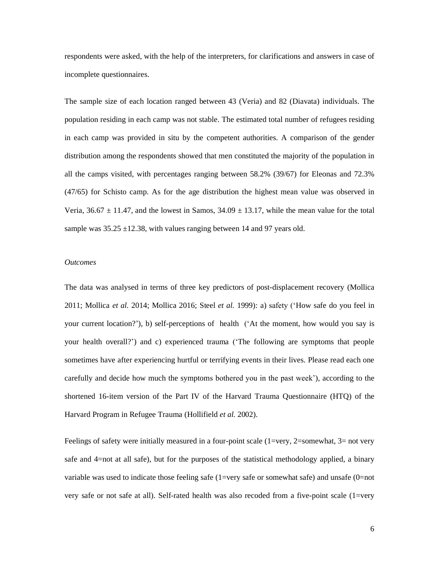respondents were asked, with the help of the interpreters, for clarifications and answers in case of incomplete questionnaires.

The sample size of each location ranged between 43 (Veria) and 82 (Diavata) individuals. The population residing in each camp was not stable. The estimated total number of refugees residing in each camp was provided in situ by the competent authorities. A comparison of the gender distribution among the respondents showed that men constituted the majority of the population in all the camps visited, with percentages ranging between 58.2% (39/67) for Eleonas and 72.3% (47/65) for Schisto camp. As for the age distribution the highest mean value was observed in Veria,  $36.67 \pm 11.47$ , and the lowest in Samos,  $34.09 \pm 13.17$ , while the mean value for the total sample was  $35.25 \pm 12.38$ , with values ranging between 14 and 97 years old.

# *Outcomes*

The data was analysed in terms of three key predictors of post-displacement recovery (Mollica 2011; Mollica *et al.* 2014; Mollica 2016; Steel *et al.* 1999): a) safety ('How safe do you feel in your current location?'), b) self-perceptions of health ('At the moment, how would you say is your health overall?') and c) experienced trauma ('The following are symptoms that people sometimes have after experiencing hurtful or terrifying events in their lives. Please read each one carefully and decide how much the symptoms bothered you in the past week'), according to the shortened 16-item version of the Part IV of the Harvard Trauma Questionnaire (HTQ) of the Harvard Program in Refugee Trauma (Hollifield *et al.* 2002).

Feelings of safety were initially measured in a four-point scale  $(1=very, 2=somewhat, 3=not very)$ safe and 4=not at all safe), but for the purposes of the statistical methodology applied, a binary variable was used to indicate those feeling safe (1=very safe or somewhat safe) and unsafe (0=not very safe or not safe at all). Self-rated health was also recoded from a five-point scale (1=very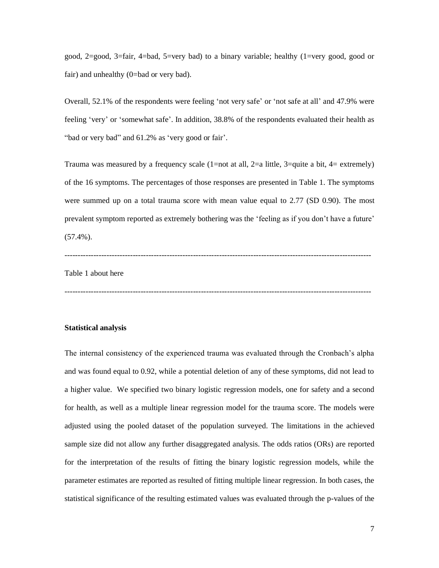good, 2=good, 3=fair, 4=bad, 5=very bad) to a binary variable; healthy (1=very good, good or fair) and unhealthy (0=bad or very bad).

Overall, 52.1% of the respondents were feeling 'not very safe' or 'not safe at all' and 47.9% were feeling 'very' or 'somewhat safe'. In addition, 38.8% of the respondents evaluated their health as "bad or very bad" and 61.2% as 'very good or fair'.

Trauma was measured by a frequency scale  $(1=not \text{ at all}, 2=$ a little,  $3=$ quite a bit,  $4=$  extremely) of the 16 symptoms. The percentages of those responses are presented in Table 1. The symptoms were summed up on a total trauma score with mean value equal to 2.77 (SD 0.90). The most prevalent symptom reported as extremely bothering was the 'feeling as if you don't have a future'  $(57.4\%)$ .

---------------------------------------------------------------------------------------------------------------------

Table 1 about here

---------------------------------------------------------------------------------------------------------------------

# **Statistical analysis**

The internal consistency of the experienced trauma was evaluated through the Cronbach's alpha and was found equal to 0.92, while a potential deletion of any of these symptoms, did not lead to a higher value. We specified two binary logistic regression models, one for safety and a second for health, as well as a multiple linear regression model for the trauma score. The models were adjusted using the pooled dataset of the population surveyed. The limitations in the achieved sample size did not allow any further disaggregated analysis. The odds ratios (ORs) are reported for the interpretation of the results of fitting the binary logistic regression models, while the parameter estimates are reported as resulted of fitting multiple linear regression. In both cases, the statistical significance of the resulting estimated values was evaluated through the p-values of the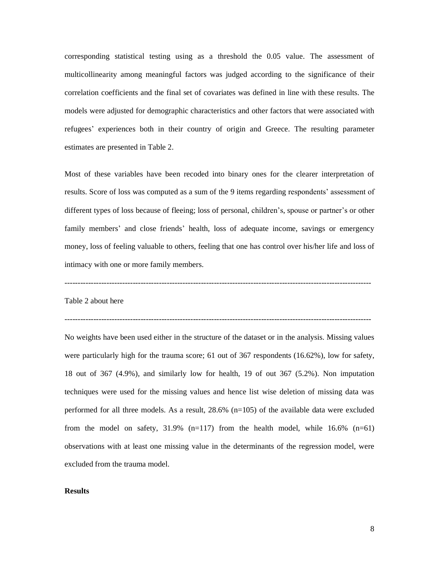corresponding statistical testing using as a threshold the 0.05 value. The assessment of multicollinearity among meaningful factors was judged according to the significance of their correlation coefficients and the final set of covariates was defined in line with these results. Τhe models were adjusted for demographic characteristics and other factors that were associated with refugees' experiences both in their country of origin and Greece. The resulting parameter estimates are presented in Table 2.

Most of these variables have been recoded into binary ones for the clearer interpretation of results. Score of loss was computed as a sum of the 9 items regarding respondents' assessment of different types of loss because of fleeing; loss of personal, children's, spouse or partner's or other family members' and close friends' health, loss of adequate income, savings or emergency money, loss of feeling valuable to others, feeling that one has control over his/her life and loss of intimacy with one or more family members.

---------------------------------------------------------------------------------------------------------------------

# Table 2 about here

---------------------------------------------------------------------------------------------------------------------

No weights have been used either in the structure of the dataset or in the analysis. Missing values were particularly high for the trauma score; 61 out of 367 respondents (16.62%), low for safety, 18 out of 367 (4.9%), and similarly low for health, 19 of out 367 (5.2%). Non imputation techniques were used for the missing values and hence list wise deletion of missing data was performed for all three models. As a result, 28.6% (n=105) of the available data were excluded from the model on safety,  $31.9\%$  (n=117) from the health model, while 16.6% (n=61) observations with at least one missing value in the determinants of the regression model, were excluded from the trauma model.

# **Results**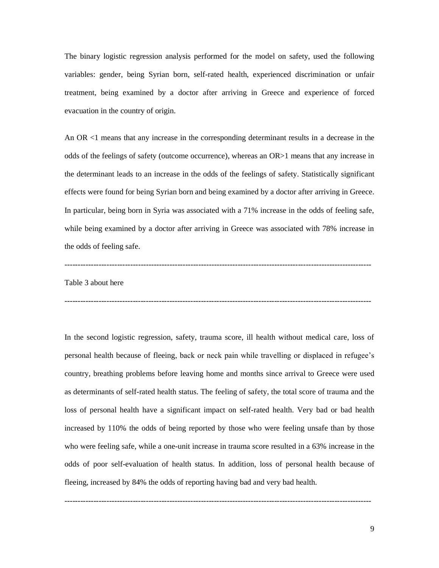The binary logistic regression analysis performed for the model on safety, used the following variables: gender, being Syrian born, self-rated health, experienced discrimination or unfair treatment, being examined by a doctor after arriving in Greece and experience of forced evacuation in the country of origin.

An OR <1 means that any increase in the corresponding determinant results in a decrease in the odds of the feelings of safety (outcome occurrence), whereas an OR>1 means that any increase in the determinant leads to an increase in the odds of the feelings of safety. Statistically significant effects were found for being Syrian born and being examined by a doctor after arriving in Greece. In particular, being born in Syria was associated with a 71% increase in the odds of feeling safe, while being examined by a doctor after arriving in Greece was associated with 78% increase in the odds of feeling safe.

#### ---------------------------------------------------------------------------------------------------------------------

---------------------------------------------------------------------------------------------------------------------

## Table 3 about here

In the second logistic regression, safety, trauma score, ill health without medical care, loss of personal health because of fleeing, back or neck pain while travelling or displaced in refugee's country, breathing problems before leaving home and months since arrival to Greece were used as determinants of self-rated health status. The feeling of safety, the total score of trauma and the loss of personal health have a significant impact on self-rated health. Very bad or bad health increased by 110% the odds of being reported by those who were feeling unsafe than by those who were feeling safe, while a one-unit increase in trauma score resulted in a 63% increase in the odds of poor self-evaluation of health status. In addition, loss of personal health because of fleeing, increased by 84% the odds of reporting having bad and very bad health.

---------------------------------------------------------------------------------------------------------------------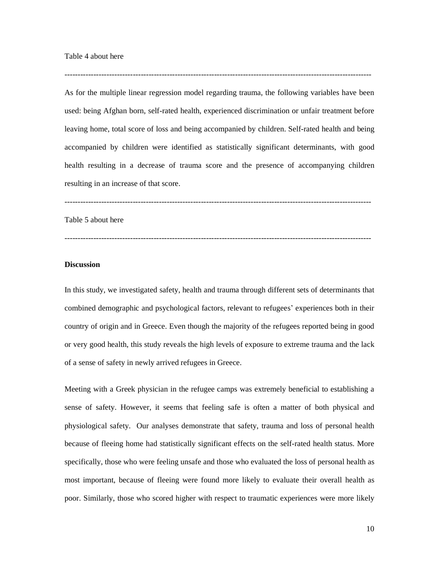As for the multiple linear regression model regarding trauma, the following variables have been used: being Afghan born, self-rated health, experienced discrimination or unfair treatment before leaving home, total score of loss and being accompanied by children. Self-rated health and being accompanied by children were identified as statistically significant determinants, with good health resulting in a decrease of trauma score and the presence of accompanying children resulting in an increase of that score.

---------------------------------------------------------------------------------------------------------------------

---------------------------------------------------------------------------------------------------------------------

Table 5 about here

---------------------------------------------------------------------------------------------------------------------

# **Discussion**

In this study, we investigated safety, health and trauma through different sets of determinants that combined demographic and psychological factors, relevant to refugees' experiences both in their country of origin and in Greece. Even though the majority of the refugees reported being in good or very good health, this study reveals the high levels of exposure to extreme trauma and the lack of a sense of safety in newly arrived refugees in Greece.

Meeting with a Greek physician in the refugee camps was extremely beneficial to establishing a sense of safety. However, it seems that feeling safe is often a matter of both physical and physiological safety. Our analyses demonstrate that safety, trauma and loss of personal health because of fleeing home had statistically significant effects on the self-rated health status. More specifically, those who were feeling unsafe and those who evaluated the loss of personal health as most important, because of fleeing were found more likely to evaluate their overall health as poor. Similarly, those who scored higher with respect to traumatic experiences were more likely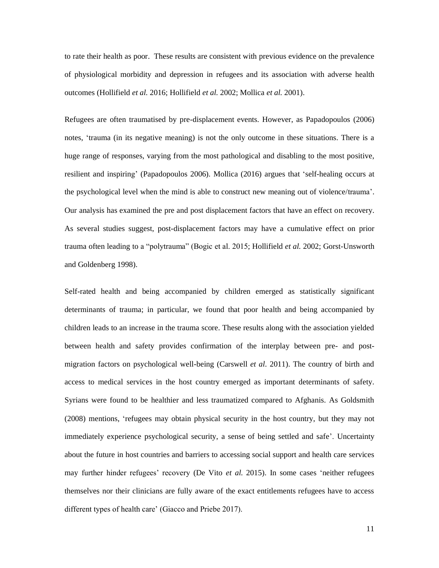to rate their health as poor. These results are consistent with previous evidence on the prevalence of physiological morbidity and depression in refugees and its association with adverse health outcomes (Hollifield *et al.* 2016; Hollifield *et al.* 2002; Mollica *et al.* 2001).

Refugees are often traumatised by pre-displacement events. However, as Papadopoulos (2006) notes, 'trauma (in its negative meaning) is not the only outcome in these situations. There is a huge range of responses, varying from the most pathological and disabling to the most positive, resilient and inspiring' (Papadopoulos 2006). Mollica (2016) argues that 'self-healing occurs at the psychological level when the mind is able to construct new meaning out of violence/trauma'. Our analysis has examined the pre and post displacement factors that have an effect on recovery. As several studies suggest, post-displacement factors may have a cumulative effect on prior trauma often leading to a "polytrauma" (Bogic et al. 2015; Hollifield *et al.* 2002; Gorst-Unsworth and Goldenberg 1998).

Self-rated health and being accompanied by children emerged as statistically significant determinants of trauma; in particular, we found that poor health and being accompanied by children leads to an increase in the trauma score. These results along with the association yielded between health and safety provides confirmation of the interplay between pre- and postmigration factors on psychological well-being (Carswell *et al*. 2011). The country of birth and access to medical services in the host country emerged as important determinants of safety. Syrians were found to be healthier and less traumatized compared to Afghanis. As Goldsmith (2008) mentions, 'refugees may obtain physical security in the host country, but they may not immediately experience psychological security, a sense of being settled and safe'. Uncertainty about the future in host countries and barriers to accessing social support and health care services may further hinder refugees' recovery (De Vito *et al.* 2015). In some cases 'neither refugees themselves nor their clinicians are fully aware of the exact entitlements refugees have to access different types of health care' (Giacco and Priebe 2017).

11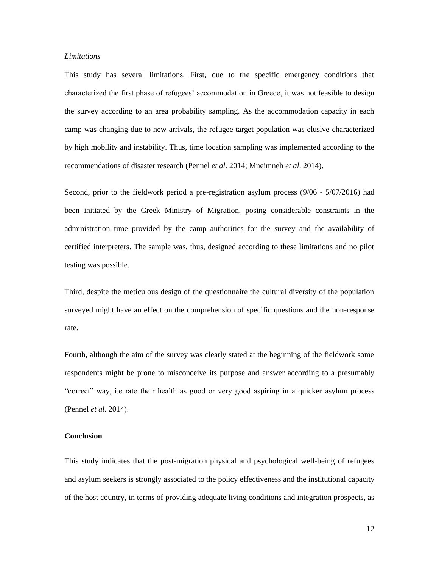## *Limitations*

This study has several limitations. First, due to the specific emergency conditions that characterized the first phase of refugees' accommodation in Greece, it was not feasible to design the survey according to an area probability sampling. As the accommodation capacity in each camp was changing due to new arrivals, the refugee target population was elusive characterized by high mobility and instability. Thus, time location sampling was implemented according to the recommendations of disaster research (Pennel *et al*. 2014; Mneimneh *et al*. 2014).

Second, prior to the fieldwork period a pre-registration asylum process (9/06 - 5/07/2016) had been initiated by the Greek Ministry of Migration, posing considerable constraints in the administration time provided by the camp authorities for the survey and the availability of certified interpreters. The sample was, thus, designed according to these limitations and no pilot testing was possible.

Third, despite the meticulous design of the questionnaire the cultural diversity of the population surveyed might have an effect on the comprehension of specific questions and the non-response rate.

Fourth, although the aim of the survey was clearly stated at the beginning of the fieldwork some respondents might be prone to misconceive its purpose and answer according to a presumably "correct" way, i.e rate their health as good or very good aspiring in a quicker asylum process (Pennel *et al*. 2014).

## **Conclusion**

This study indicates that the post-migration physical and psychological well-being of refugees and asylum seekers is strongly associated to the policy effectiveness and the institutional capacity of the host country, in terms of providing adequate living conditions and integration prospects, as

12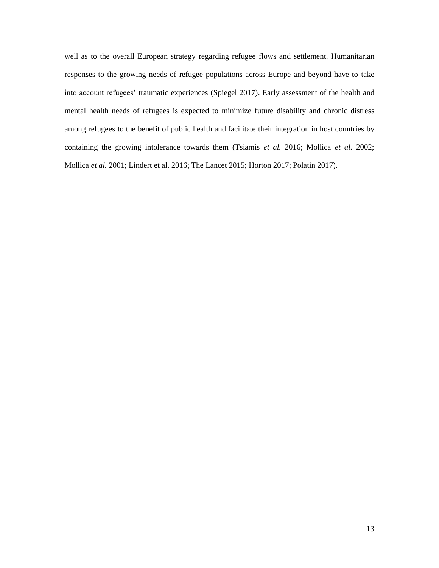well as to the overall European strategy regarding refugee flows and settlement. Humanitarian responses to the growing needs of refugee populations across Europe and beyond have to take into account refugees' traumatic experiences (Spiegel 2017). Early assessment of the health and mental health needs of refugees is expected to minimize future disability and chronic distress among refugees to the benefit of public health and facilitate their integration in host countries by containing the growing intolerance towards them (Tsiamis *et al.* 2016; Mollica *et al.* 2002; Μollica *et al.* 2001; Lindert et al. 2016; Τhe Lancet 2015; Horton 2017; Polatin 2017).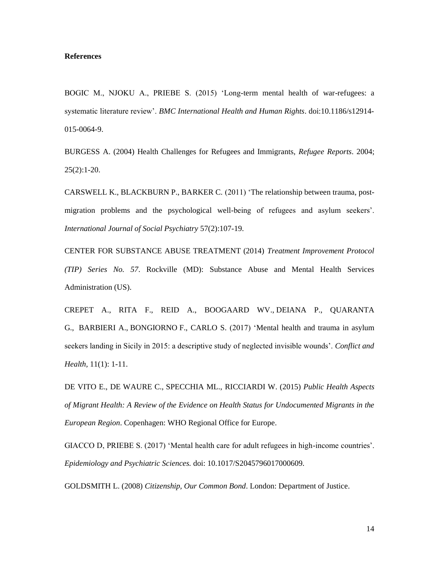### **References**

BOGIC M., NJOKU A., PRIEBE S. (2015) 'Long-term mental health of war-refugees: a systematic literature review'. *BMC International Health and Human Rights*. doi:10.1186/s12914- 015-0064-9.

BURGESS A. (2004) Health Challenges for Refugees and Immigrants, *Refugee Reports*. 2004;  $25(2):1-20.$ 

CARSWELL K., BLACKBURN P., BARKER C. (2011) 'The relationship between trauma, postmigration problems and the psychological well-being of refugees and asylum seekers'. *International Journal of Social Psychiatry* 57(2):107-19.

CENTER FOR SUBSTANCE ABUSE TREATMENT (2014) *Treatment Improvement Protocol (TIP) Series No. 57*. Rockville (MD): Substance Abuse and Mental Health Services Administration (US).

CREPET A., RITA F., REID A., BOOGAARD WV., DEIANA P., QUARANTA G., BARBIERI A., BONGIORNO F., CARLO S. (2017) 'Mental health and trauma in asylum seekers landing in Sicily in 2015: a descriptive study of neglected invisible wounds'. *Conflict and Health,* 11(1): 1-11.

DE VITO E., DE WAURE C., SPECCHIA ML., RICCIARDI W. (2015) *Public Health Aspects of Migrant Health: A Review of the Evidence on Health Status for Undocumented Migrants in the European Region*. Copenhagen: WHO Regional Office for Europe.

GIACCO D, PRIEBE S. (2017) 'Mental health care for adult refugees in high-income countries'. *Epidemiology and Psychiatric Sciences.* doi: 10.1017/S2045796017000609.

GOLDSMITH L. (2008) *Citizenship, Our Common Bond*. London: Department of Justice.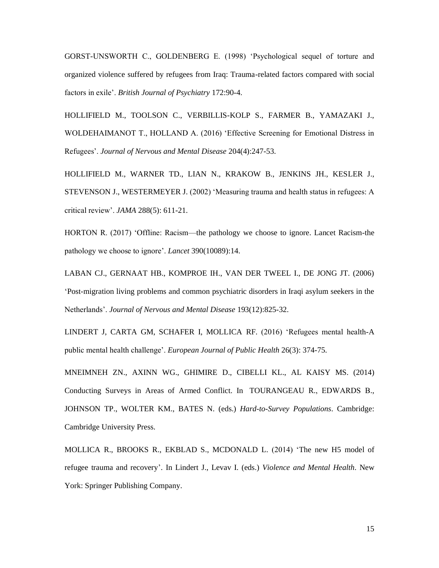GORST-UNSWORTH C., GOLDENBERG E. (1998) 'Psychological sequel of torture and organized violence suffered by refugees from Iraq: Trauma-related factors compared with social factors in exile'. *British Journal of Psychiatry* 172:90-4.

HOLLIFIELD M., TOOLSON C., VERBILLIS-KOLP S., FARMER B., YAMAZAKI J., WOLDEHAIMANOT T., HOLLAND A. (2016) 'Effective Screening for Emotional Distress in Refugees'. *Journal of Nervous and Mental Disease* 204(4):247-53.

HOLLIFIELD M., WARNER TD., LIAN N., KRAKOW B., JENKINS JH., KESLER J., STEVENSON J., WESTERMEYER J. (2002) 'Measuring trauma and health status in refugees: A critical review'. *JAMA* 288(5): 611-21.

HORTON R. (2017) 'Offline: Racism—the pathology we choose to ignore. Lancet Racism-the pathology we choose to ignore'. *Lancet* 390(10089):14.

LABAN CJ., GERNAAT HB., KOMPROE IH., VAN DER TWEEL I., DE JONG JT. (2006) 'Post-migration living problems and common psychiatric disorders in Iraqi asylum seekers in the Netherlands'. *Journal of Nervous and Mental Disease* 193(12):825-32.

LINDERT J, CARTA GM, SCHAFER I, MOLLICA RF. (2016) 'Refugees mental health-A public mental health challenge'. *European Journal of Public Health* 26(3): 374-75.

MNEIMNEH ZN., AXINN WG., GHIMIRE D., CIBELLI KL., AL KAISY MS. (2014) Conducting Surveys in Areas of Armed Conflict. In TOURANGEAU R., EDWARDS Β., JOHNSON TP., WOLTER KM., BATES N. (eds.) *Hard-to-Survey Populations*. Cambridge: Cambridge University Press.

MOLLICA R., BROOKS R., EKBLAD S., MCDONALD L. (2014) 'The new H5 model of refugee trauma and recovery'. In Lindert J., Levav I. (eds.) *Violence and Mental Health*. New York: Springer Publishing Company.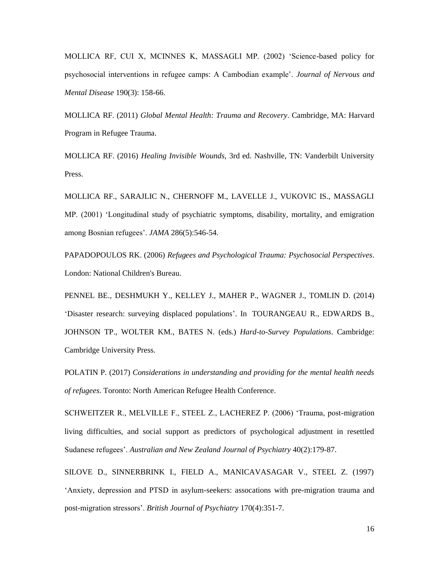MOLLICA RF, CUI X, MCINNES K, MASSAGLI MP. (2002) 'Science-based policy for psychosocial interventions in refugee camps: A Cambodian example'. *Journal of Nervous and Mental Disease* 190(3): 158-66.

MOLLICA RF. (2011) *Global Mental Health: Trauma and Recovery*. Cambridge, MA: Harvard Program in Refugee Trauma.

MOLLICA RF. (2016) *Healing Invisible Wounds,* 3rd ed. Nashville, TN: Vanderbilt University Press.

MOLLICA RF., SARAJLIC N., CHERNOFF M., LAVELLE J., VUKOVIC IS., MASSAGLI MP. (2001) 'Longitudinal study of psychiatric symptoms, disability, mortality, and emigration among Bosnian refugees'. *JAMA* 286(5):546-54.

PAPADOPOULOS RK. (2006) *Refugees and Psychological Trauma: Psychosocial Perspectives*. London: National Children's Bureau.

PENNEL BE., DESHMUKH Y., KELLEY J., MAHER P., WAGNER J., TOMLIN D. (2014) 'Disaster research: surveying displaced populations'. In TOURANGEAU R., EDWARDS Β., JOHNSON TP., WOLTER KM., BATES N. (eds.) *Hard-to-Survey Populations*. Cambridge: Cambridge University Press.

POLATIN P. (2017) *Considerations in understanding and providing for the mental health needs of refugees*. Toronto: North American Refugee Health Conference.

SCHWEITZER R., MELVILLE F., STEEL Z., LACHEREZ P. (2006) 'Trauma, post-migration living difficulties, and social support as predictors of psychological adjustment in resettled Sudanese refugees'. *Australian and New Zealand Journal of Psychiatry* 40(2):179-87.

SILOVE D., SINNERBRINK I., FIELD A., MANICAVASAGAR V., STEEL Z. (1997) 'Anxiety, depression and PTSD in asylum-seekers: assocations with pre-migration trauma and post-migration stressors'. *British Journal of Psychiatry* 170(4):351-7.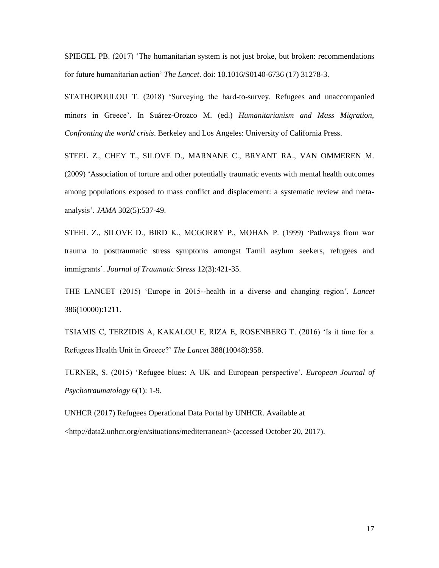SPIEGEL PB. (2017) 'The humanitarian system is not just broke, but broken: recommendations for future humanitarian action' *The Lancet*. doi: 10.1016/S0140-6736 (17) 31278-3.

STATHOPOULOU T. (2018) 'Surveying the hard-to-survey. Refugees and unaccompanied minors in Greece'. In Suárez-Orozco M. (ed.) *Humanitarianism and Mass Migration, Confronting the world crisis*. Berkeley and Los Angeles: University of California Press.

STEEL Z., CHEY T., SILOVE D., MARNANE C., BRYANT RA., VAN OMMEREN M. (2009) 'Association of torture and other potentially traumatic events with mental health outcomes among populations exposed to mass conflict and displacement: a systematic review and metaanalysis'. *JAMA* 302(5):537-49.

STEEL Z., SILOVE D., BIRD K., MCGORRY P., MOHAN P. (1999) 'Pathways from war trauma to posttraumatic stress symptoms amongst Tamil asylum seekers, refugees and immigrants'. *Journal of Traumatic Stress* 12(3):421-35.

THE LANCET (2015) 'Europe in 2015--health in a diverse and changing region'. *Lancet* 386(10000):1211.

TSIAMIS C, TERZIDIS A, KAKALOU E, RIZA E, ROSENBERG T. (2016) 'Is it time for a Refugees Health Unit in Greece?' *The Lancet* 388(10048):958.

TURNER, S. (2015) 'Refugee blues: A UK and European perspective'. *European Journal of Psychotraumatology* 6(1): 1-9.

UNHCR (2017) Refugees Operational Data Portal by UNHCR. Available at <http://data2.unhcr.org/en/situations/mediterranean> (accessed October 20, 2017).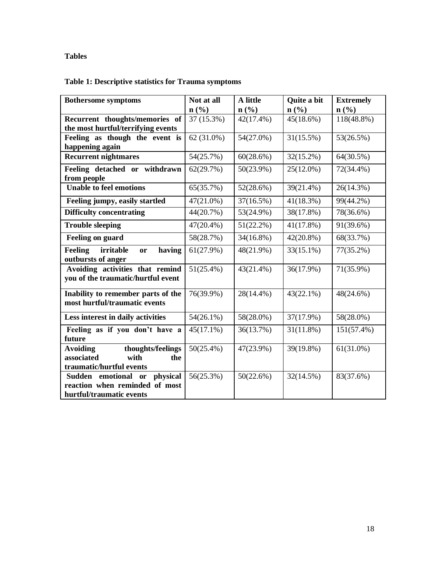# **Tables**

# **Table 1: Descriptive statistics for Trauma symptoms**

| <b>Bothersome symptoms</b>                                            | Not at all                  | A little     | Quite a bit  | <b>Extremely</b>            |
|-----------------------------------------------------------------------|-----------------------------|--------------|--------------|-----------------------------|
|                                                                       | $n\left(\frac{0}{0}\right)$ | n(%)         | n(%)         | $n\left(\frac{9}{6}\right)$ |
| Recurrent thoughts/memories of                                        | 37 (15.3%)                  | 42(17.4%)    | $45(18.6\%)$ | 118(48.8%)                  |
| the most hurtful/terrifying events                                    |                             |              |              |                             |
| Feeling as though the event is                                        | 62 (31.0%)                  | 54(27.0%)    | 31(15.5%)    | 53(26.5%)                   |
| happening again                                                       |                             |              |              |                             |
| <b>Recurrent nightmares</b>                                           | 54(25.7%)                   | 60(28.6%)    | $32(15.2\%)$ | 64(30.5%)                   |
| Feeling detached or withdrawn                                         | 62(29.7%)                   | $50(23.9\%)$ | $25(12.0\%)$ | 72(34.4%)                   |
| from people                                                           |                             |              |              |                             |
| <b>Unable to feel emotions</b>                                        | 65(35.7%)                   | 52(28.6%)    | 39(21.4%)    | 26(14.3%)                   |
| Feeling jumpy, easily startled                                        | $47(21.0\%)$                | 37(16.5%)    | 41(18.3%)    | 99(44.2%)                   |
| <b>Difficulty concentrating</b>                                       | 44(20.7%)                   | 53(24.9%)    | 38(17.8%)    | 78(36.6%)                   |
| <b>Trouble sleeping</b>                                               | 47(20.4%)                   | $51(22.2\%)$ | 41(17.8%)    | 91(39.6%)                   |
| <b>Feeling on guard</b>                                               | 58(28.7%)                   | 34(16.8%)    | $42(20.8\%)$ | 68(33.7%)                   |
| irritable<br><b>Feeling</b><br>having<br>or<br>outbursts of anger     | 61(27.9%)                   | 48(21.9%)    | $33(15.1\%)$ | $77(35.2\%)$                |
| Avoiding activities that remind<br>you of the traumatic/hurtful event | $51(25.4\%)$                | 43(21.4%)    | 36(17.9%)    | 71(35.9%)                   |
| Inability to remember parts of the<br>most hurtful/traumatic events   | 76(39.9%)                   | 28(14.4%)    | $43(22.1\%)$ | 48(24.6%)                   |
| Less interest in daily activities                                     | $54(26.1\%)$                | 58(28.0%)    | 37(17.9%)    | 58(28.0%)                   |
| Feeling as if you don't have a<br>future                              | $45(17.1\%)$                | 36(13.7%)    | $31(11.8\%)$ | $151(57.4\%)$               |
| thoughts/feelings<br><b>Avoiding</b>                                  | $50(25.4\%)$                | 47(23.9%)    | 39(19.8%)    | $61(31.0\%)$                |
| with<br>associated<br>the                                             |                             |              |              |                             |
| traumatic/hurtful events                                              |                             |              |              |                             |
| emotional or<br>physical<br>Sudden                                    | 56(25.3%)                   | 50(22.6%)    | 32(14.5%)    | 83(37.6%)                   |
| reaction when reminded of most                                        |                             |              |              |                             |
| hurtful/traumatic events                                              |                             |              |              |                             |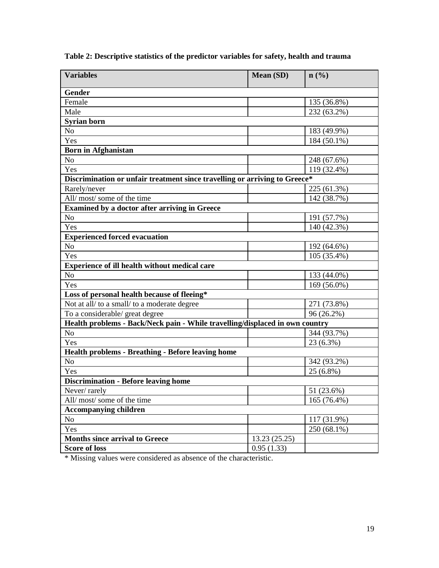| <b>Variables</b>                                                             | <b>Mean (SD)</b> | $n\left(\frac{9}{6}\right)$ |  |  |
|------------------------------------------------------------------------------|------------------|-----------------------------|--|--|
| Gender                                                                       |                  |                             |  |  |
| Female                                                                       |                  | 135 (36.8%)                 |  |  |
| Male                                                                         |                  | 232 (63.2%)                 |  |  |
| Syrian born                                                                  |                  |                             |  |  |
| No                                                                           |                  | 183 (49.9%)                 |  |  |
| Yes                                                                          |                  | 184 (50.1%)                 |  |  |
| <b>Born in Afghanistan</b>                                                   |                  |                             |  |  |
| N <sub>0</sub>                                                               |                  | 248 (67.6%)                 |  |  |
| Yes                                                                          |                  | 119 (32.4%)                 |  |  |
| Discrimination or unfair treatment since travelling or arriving to Greece*   |                  |                             |  |  |
| Rarely/never                                                                 |                  | 225 (61.3%)                 |  |  |
| All/ most/ some of the time                                                  |                  | 142 (38.7%)                 |  |  |
| <b>Examined by a doctor after arriving in Greece</b>                         |                  |                             |  |  |
| No                                                                           |                  | 191 (57.7%)                 |  |  |
| Yes                                                                          |                  | 140 (42.3%)                 |  |  |
| <b>Experienced forced evacuation</b>                                         |                  |                             |  |  |
| N <sub>0</sub>                                                               |                  | 192 (64.6%)                 |  |  |
| Yes                                                                          |                  | 105 (35.4%)                 |  |  |
| Experience of ill health without medical care                                |                  |                             |  |  |
| No                                                                           |                  | 133 (44.0%)                 |  |  |
| Yes                                                                          |                  | 169 (56.0%)                 |  |  |
| Loss of personal health because of fleeing*                                  |                  |                             |  |  |
| Not at all/ to a small/ to a moderate degree                                 |                  | 271 (73.8%)                 |  |  |
| To a considerable/ great degree                                              |                  | 96 (26.2%)                  |  |  |
| Health problems - Back/Neck pain - While travelling/displaced in own country |                  |                             |  |  |
| No                                                                           |                  | 344 (93.7%)                 |  |  |
| Yes                                                                          |                  | 23 (6.3%)                   |  |  |
| <b>Health problems - Breathing - Before leaving home</b>                     |                  |                             |  |  |
| No                                                                           |                  | 342 (93.2%)                 |  |  |
| Yes                                                                          |                  | 25 (6.8%)                   |  |  |
| <b>Discrimination - Before leaving home</b>                                  |                  |                             |  |  |
| Never/rarely                                                                 |                  | 51 (23.6%)                  |  |  |
| All/ most/ some of the time                                                  |                  | 165 (76.4%)                 |  |  |
| <b>Accompanying children</b>                                                 |                  |                             |  |  |
| No                                                                           |                  | 117 (31.9%)                 |  |  |
| Yes                                                                          |                  | 250 (68.1%)                 |  |  |
| <b>Months since arrival to Greece</b>                                        | 13.23 (25.25)    |                             |  |  |
| <b>Score of loss</b>                                                         | 0.95(1.33)       |                             |  |  |

**Table 2: Descriptive statistics of the predictor variables for safety, health and trauma**

\* Missing values were considered as absence of the characteristic.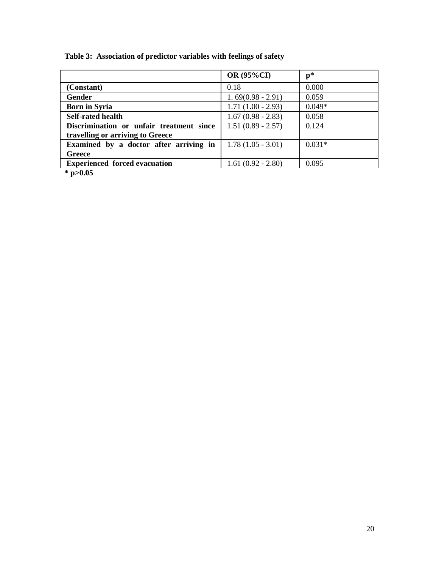**Table 3: Association of predictor variables with feelings of safety**

|                                                                              | <b>OR (95%CI)</b>   | $p*$     |
|------------------------------------------------------------------------------|---------------------|----------|
| (Constant)                                                                   | 0.18                | 0.000    |
| Gender                                                                       | $1.69(0.98 - 2.91)$ | 0.059    |
| <b>Born in Syria</b>                                                         | $1.71(1.00 - 2.93)$ | $0.049*$ |
| <b>Self-rated health</b>                                                     | $1.67(0.98 - 2.83)$ | 0.058    |
| Discrimination or unfair treatment since<br>travelling or arriving to Greece | $1.51(0.89 - 2.57)$ | 0.124    |
| Examined by a doctor after arriving in                                       | $1.78(1.05 - 3.01)$ | $0.031*$ |
| Greece                                                                       |                     |          |
| <b>Experienced forced evacuation</b><br>$\sim$ $\sim$ $\sim$                 | $1.61(0.92 - 2.80)$ | 0.095    |

**\* p>0.05**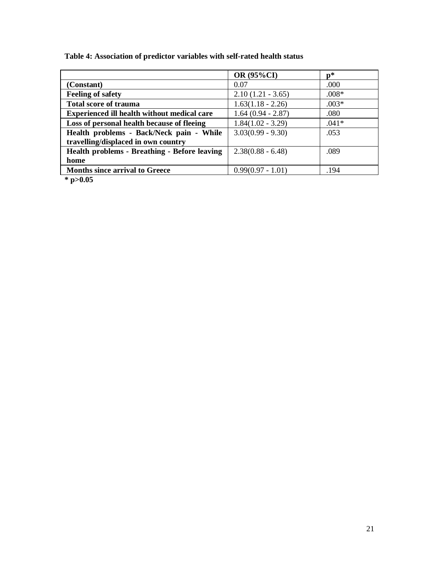| Table 4: Association of predictor variables with self-rated health status |  |  |
|---------------------------------------------------------------------------|--|--|
|---------------------------------------------------------------------------|--|--|

|                                                    | <b>OR (95%CI)</b>   | n*      |
|----------------------------------------------------|---------------------|---------|
| (Constant)                                         | 0.07                | .000    |
| <b>Feeling of safety</b>                           | $2.10(1.21 - 3.65)$ | $.008*$ |
| <b>Total score of trauma</b>                       | $1.63(1.18 - 2.26)$ | $.003*$ |
| <b>Experienced ill health without medical care</b> | $1.64(0.94 - 2.87)$ | .080    |
| Loss of personal health because of fleeing         | $1.84(1.02 - 3.29)$ | $.041*$ |
| Health problems - Back/Neck pain - While           | $3.03(0.99 - 9.30)$ | .053    |
| travelling/displaced in own country                |                     |         |
| Health problems - Breathing - Before leaving       | $2.38(0.88 - 6.48)$ | .089    |
| home                                               |                     |         |
| <b>Months since arrival to Greece</b>              | $0.99(0.97 - 1.01)$ | .194    |

**\* p>0.05**